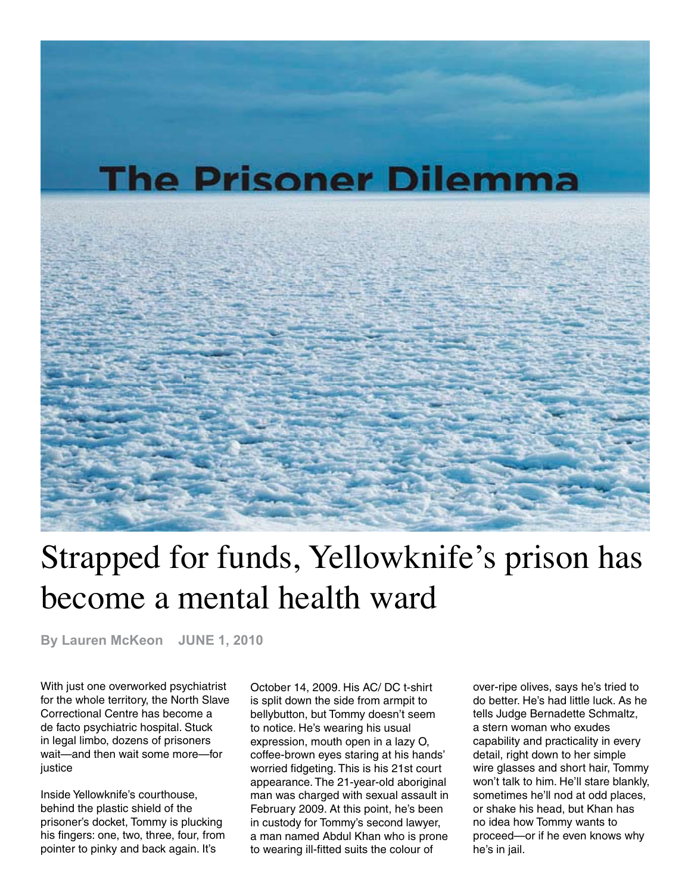## **The Prisoner Dilemma**



## Strapped for funds, Yellowknife's prison has become a mental health ward

**By Lauren McKeon JUNE 1, 2010**

With just one overworked psychiatrist for the whole territory, the North Slave Correctional Centre has become a de facto psychiatric hospital. Stuck in legal limbo, dozens of prisoners wait—and then wait some more—for justice

Inside Yellowknife's courthouse, behind the plastic shield of the prisoner's docket, Tommy is plucking his fingers: one, two, three, four, from pointer to pinky and back again. It's

October 14, 2009. His AC/ DC t-shirt is split down the side from armpit to bellybutton, but Tommy doesn't seem to notice. He's wearing his usual expression, mouth open in a lazy O, coffee-brown eyes staring at his hands' worried fidgeting. This is his 21st court appearance. The 21-year-old aboriginal man was charged with sexual assault in February 2009. At this point, he's been in custody for Tommy's second lawyer, a man named Abdul Khan who is prone to wearing ill-fitted suits the colour of

over-ripe olives, says he's tried to do better. He's had little luck. As he tells Judge Bernadette Schmaltz, a stern woman who exudes capability and practicality in every detail, right down to her simple wire glasses and short hair, Tommy won't talk to him. He'll stare blankly, sometimes he'll nod at odd places, or shake his head, but Khan has no idea how Tommy wants to proceed—or if he even knows why he's in jail.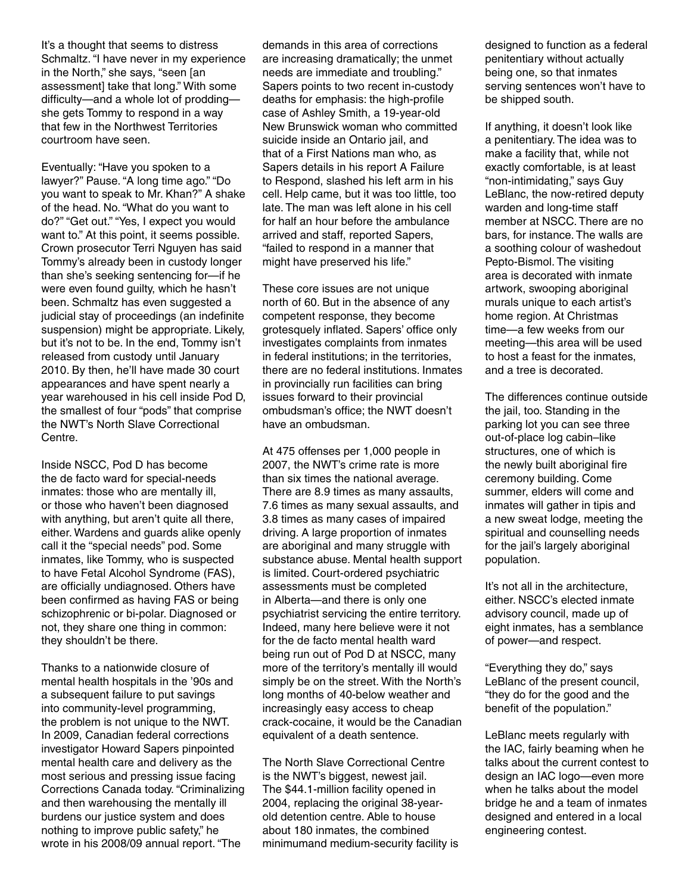It's a thought that seems to distress Schmaltz. "I have never in my experience in the North," she says, "seen [an assessment] take that long." With some difficulty—and a whole lot of prodding she gets Tommy to respond in a way that few in the Northwest Territories courtroom have seen.

Eventually: "Have you spoken to a lawyer?" Pause. "A long time ago." "Do you want to speak to Mr. Khan?" A shake of the head. No. "What do you want to do?" "Get out." "Yes, I expect you would want to." At this point, it seems possible. Crown prosecutor Terri Nguyen has said Tommy's already been in custody longer than she's seeking sentencing for—if he were even found guilty, which he hasn't been. Schmaltz has even suggested a judicial stay of proceedings (an indefinite suspension) might be appropriate. Likely, but it's not to be. In the end, Tommy isn't released from custody until January 2010. By then, he'll have made 30 court appearances and have spent nearly a year warehoused in his cell inside Pod D, the smallest of four "pods" that comprise the NWT's North Slave Correctional Centre.

Inside NSCC, Pod D has become the de facto ward for special-needs inmates: those who are mentally ill, or those who haven't been diagnosed with anything, but aren't quite all there, either. Wardens and guards alike openly call it the "special needs" pod. Some inmates, like Tommy, who is suspected to have Fetal Alcohol Syndrome (FAS), are officially undiagnosed. Others have been confirmed as having FAS or being schizophrenic or bi-polar. Diagnosed or not, they share one thing in common: they shouldn't be there.

Thanks to a nationwide closure of mental health hospitals in the '90s and a subsequent failure to put savings into community-level programming, the problem is not unique to the NWT. In 2009, Canadian federal corrections investigator Howard Sapers pinpointed mental health care and delivery as the most serious and pressing issue facing Corrections Canada today. "Criminalizing and then warehousing the mentally ill burdens our justice system and does nothing to improve public safety," he wrote in his 2008/09 annual report. "The

demands in this area of corrections are increasing dramatically; the unmet needs are immediate and troubling." Sapers points to two recent in-custody deaths for emphasis: the high-profile case of Ashley Smith, a 19-year-old New Brunswick woman who committed suicide inside an Ontario jail, and that of a First Nations man who, as Sapers details in his report A Failure to Respond, slashed his left arm in his cell. Help came, but it was too little, too late. The man was left alone in his cell for half an hour before the ambulance arrived and staff, reported Sapers, "failed to respond in a manner that might have preserved his life."

These core issues are not unique north of 60. But in the absence of any competent response, they become grotesquely inflated. Sapers' office only investigates complaints from inmates in federal institutions; in the territories, there are no federal institutions. Inmates in provincially run facilities can bring issues forward to their provincial ombudsman's office; the NWT doesn't have an ombudsman.

At 475 offenses per 1,000 people in 2007, the NWT's crime rate is more than six times the national average. There are 8.9 times as many assaults, 7.6 times as many sexual assaults, and 3.8 times as many cases of impaired driving. A large proportion of inmates are aboriginal and many struggle with substance abuse. Mental health support is limited. Court-ordered psychiatric assessments must be completed in Alberta—and there is only one psychiatrist servicing the entire territory. Indeed, many here believe were it not for the de facto mental health ward being run out of Pod D at NSCC, many more of the territory's mentally ill would simply be on the street. With the North's long months of 40-below weather and increasingly easy access to cheap crack-cocaine, it would be the Canadian equivalent of a death sentence.

The North Slave Correctional Centre is the NWT's biggest, newest jail. The \$44.1-million facility opened in 2004, replacing the original 38-yearold detention centre. Able to house about 180 inmates, the combined minimumand medium-security facility is designed to function as a federal penitentiary without actually being one, so that inmates serving sentences won't have to be shipped south.

If anything, it doesn't look like a penitentiary. The idea was to make a facility that, while not exactly comfortable, is at least "non-intimidating," says Guy LeBlanc, the now-retired deputy warden and long-time staff member at NSCC. There are no bars, for instance. The walls are a soothing colour of washedout Pepto-Bismol. The visiting area is decorated with inmate artwork, swooping aboriginal murals unique to each artist's home region. At Christmas time—a few weeks from our meeting—this area will be used to host a feast for the inmates, and a tree is decorated.

The differences continue outside the jail, too. Standing in the parking lot you can see three out-of-place log cabin–like structures, one of which is the newly built aboriginal fire ceremony building. Come summer, elders will come and inmates will gather in tipis and a new sweat lodge, meeting the spiritual and counselling needs for the jail's largely aboriginal population.

It's not all in the architecture, either. NSCC's elected inmate advisory council, made up of eight inmates, has a semblance of power—and respect.

"Everything they do," says LeBlanc of the present council, "they do for the good and the benefit of the population."

LeBlanc meets regularly with the IAC, fairly beaming when he talks about the current contest to design an IAC logo—even more when he talks about the model bridge he and a team of inmates designed and entered in a local engineering contest.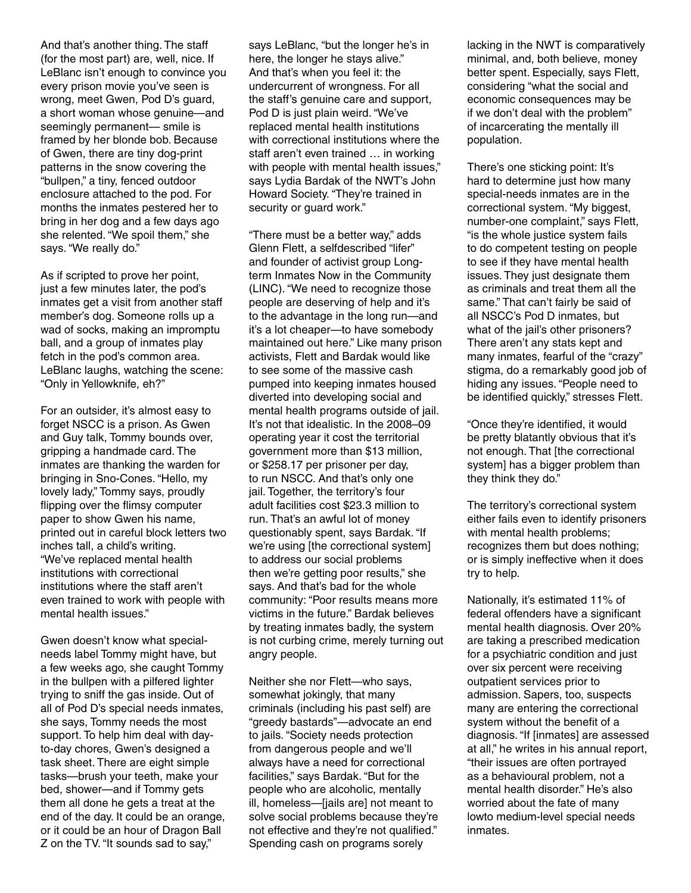And that's another thing. The staff (for the most part) are, well, nice. If LeBlanc isn't enough to convince you every prison movie you've seen is wrong, meet Gwen, Pod D's guard, a short woman whose genuine—and seemingly permanent— smile is framed by her blonde bob. Because of Gwen, there are tiny dog-print patterns in the snow covering the "bullpen," a tiny, fenced outdoor enclosure attached to the pod. For months the inmates pestered her to bring in her dog and a few days ago she relented. "We spoil them," she says. "We really do."

As if scripted to prove her point, just a few minutes later, the pod's inmates get a visit from another staff member's dog. Someone rolls up a wad of socks, making an impromptu ball, and a group of inmates play fetch in the pod's common area. LeBlanc laughs, watching the scene: "Only in Yellowknife, eh?"

For an outsider, it's almost easy to forget NSCC is a prison. As Gwen and Guy talk, Tommy bounds over, gripping a handmade card. The inmates are thanking the warden for bringing in Sno-Cones. "Hello, my lovely lady," Tommy says, proudly flipping over the flimsy computer paper to show Gwen his name, printed out in careful block letters two inches tall, a child's writing. "We've replaced mental health institutions with correctional institutions where the staff aren't even trained to work with people with mental health issues."

Gwen doesn't know what specialneeds label Tommy might have, but a few weeks ago, she caught Tommy in the bullpen with a pilfered lighter trying to sniff the gas inside. Out of all of Pod D's special needs inmates, she says, Tommy needs the most support. To help him deal with dayto-day chores, Gwen's designed a task sheet. There are eight simple tasks—brush your teeth, make your bed, shower—and if Tommy gets them all done he gets a treat at the end of the day. It could be an orange, or it could be an hour of Dragon Ball Z on the TV. "It sounds sad to say,"

says LeBlanc, "but the longer he's in here, the longer he stays alive." And that's when you feel it: the undercurrent of wrongness. For all the staff's genuine care and support, Pod D is just plain weird. "We've replaced mental health institutions with correctional institutions where the staff aren't even trained … in working with people with mental health issues," says Lydia Bardak of the NWT's John Howard Society. "They're trained in security or guard work."

"There must be a better way," adds Glenn Flett, a selfdescribed "lifer" and founder of activist group Longterm Inmates Now in the Community (LINC). "We need to recognize those people are deserving of help and it's to the advantage in the long run—and it's a lot cheaper—to have somebody maintained out here." Like many prison activists, Flett and Bardak would like to see some of the massive cash pumped into keeping inmates housed diverted into developing social and mental health programs outside of jail. It's not that idealistic. In the 2008–09 operating year it cost the territorial government more than \$13 million, or \$258.17 per prisoner per day, to run NSCC. And that's only one jail. Together, the territory's four adult facilities cost \$23.3 million to run. That's an awful lot of money questionably spent, says Bardak. "If we're using [the correctional system] to address our social problems then we're getting poor results," she says. And that's bad for the whole community: "Poor results means more victims in the future." Bardak believes by treating inmates badly, the system is not curbing crime, merely turning out angry people.

Neither she nor Flett—who says, somewhat jokingly, that many criminals (including his past self) are "greedy bastards"—advocate an end to jails. "Society needs protection from dangerous people and we'll always have a need for correctional facilities," says Bardak. "But for the people who are alcoholic, mentally ill, homeless—[jails are] not meant to solve social problems because they're not effective and they're not qualified." Spending cash on programs sorely

lacking in the NWT is comparatively minimal, and, both believe, money better spent. Especially, says Flett, considering "what the social and economic consequences may be if we don't deal with the problem" of incarcerating the mentally ill population.

There's one sticking point: It's hard to determine just how many special-needs inmates are in the correctional system. "My biggest, number-one complaint," says Flett, "is the whole justice system fails to do competent testing on people to see if they have mental health issues. They just designate them as criminals and treat them all the same." That can't fairly be said of all NSCC's Pod D inmates, but what of the jail's other prisoners? There aren't any stats kept and many inmates, fearful of the "crazy" stigma, do a remarkably good job of hiding any issues. "People need to be identified quickly," stresses Flett.

"Once they're identified, it would be pretty blatantly obvious that it's not enough. That [the correctional system] has a bigger problem than they think they do."

The territory's correctional system either fails even to identify prisoners with mental health problems; recognizes them but does nothing; or is simply ineffective when it does try to help.

Nationally, it's estimated 11% of federal offenders have a significant mental health diagnosis. Over 20% are taking a prescribed medication for a psychiatric condition and just over six percent were receiving outpatient services prior to admission. Sapers, too, suspects many are entering the correctional system without the benefit of a diagnosis. "If [inmates] are assessed at all," he writes in his annual report, "their issues are often portrayed as a behavioural problem, not a mental health disorder." He's also worried about the fate of many lowto medium-level special needs inmates.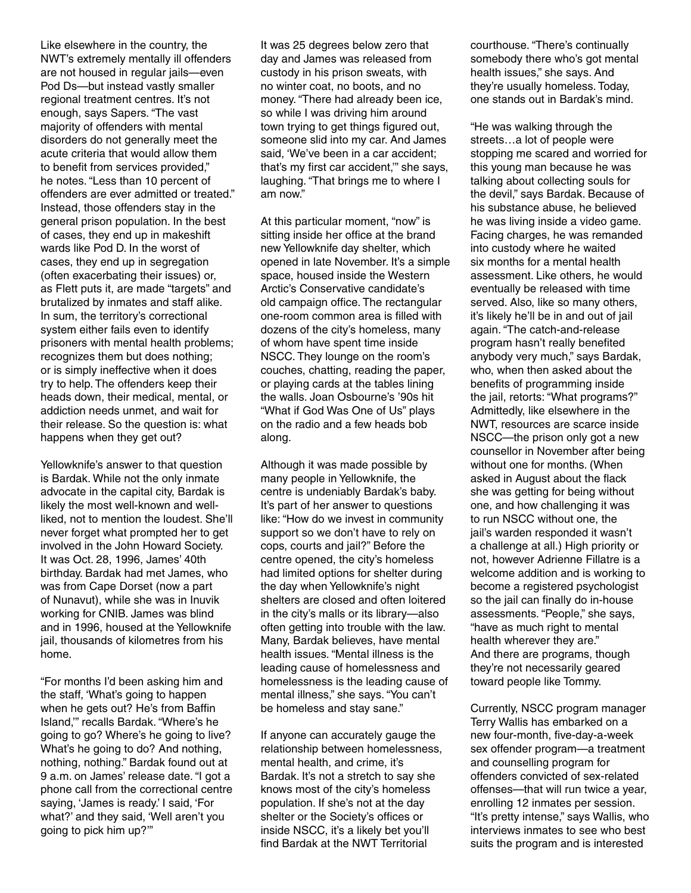Like elsewhere in the country, the NWT's extremely mentally ill offenders are not housed in regular jails—even Pod Ds—but instead vastly smaller regional treatment centres. It's not enough, says Sapers. "The vast majority of offenders with mental disorders do not generally meet the acute criteria that would allow them to benefit from services provided," he notes. "Less than 10 percent of offenders are ever admitted or treated." Instead, those offenders stay in the general prison population. In the best of cases, they end up in makeshift wards like Pod D. In the worst of cases, they end up in segregation (often exacerbating their issues) or, as Flett puts it, are made "targets" and brutalized by inmates and staff alike. In sum, the territory's correctional system either fails even to identify prisoners with mental health problems; recognizes them but does nothing; or is simply ineffective when it does try to help. The offenders keep their heads down, their medical, mental, or addiction needs unmet, and wait for their release. So the question is: what happens when they get out?

Yellowknife's answer to that question is Bardak. While not the only inmate advocate in the capital city, Bardak is likely the most well-known and wellliked, not to mention the loudest. She'll never forget what prompted her to get involved in the John Howard Society. It was Oct. 28, 1996, James' 40th birthday. Bardak had met James, who was from Cape Dorset (now a part of Nunavut), while she was in Inuvik working for CNIB. James was blind and in 1996, housed at the Yellowknife jail, thousands of kilometres from his home.

"For months I'd been asking him and the staff, 'What's going to happen when he gets out? He's from Baffin Island,'" recalls Bardak. "Where's he going to go? Where's he going to live? What's he going to do? And nothing, nothing, nothing." Bardak found out at 9 a.m. on James' release date. "I got a phone call from the correctional centre saying, 'James is ready.' I said, 'For what?' and they said, 'Well aren't you going to pick him up?'"

It was 25 degrees below zero that day and James was released from custody in his prison sweats, with no winter coat, no boots, and no money. "There had already been ice, so while I was driving him around town trying to get things figured out, someone slid into my car. And James said, 'We've been in a car accident; that's my first car accident,'" she says, laughing. "That brings me to where I am now."

At this particular moment, "now" is sitting inside her office at the brand new Yellowknife day shelter, which opened in late November. It's a simple space, housed inside the Western Arctic's Conservative candidate's old campaign office. The rectangular one-room common area is filled with dozens of the city's homeless, many of whom have spent time inside NSCC. They lounge on the room's couches, chatting, reading the paper, or playing cards at the tables lining the walls. Joan Osbourne's '90s hit "What if God Was One of Us" plays on the radio and a few heads bob along.

Although it was made possible by many people in Yellowknife, the centre is undeniably Bardak's baby. It's part of her answer to questions like: "How do we invest in community support so we don't have to rely on cops, courts and jail?" Before the centre opened, the city's homeless had limited options for shelter during the day when Yellowknife's night shelters are closed and often loitered in the city's malls or its library—also often getting into trouble with the law. Many, Bardak believes, have mental health issues. "Mental illness is the leading cause of homelessness and homelessness is the leading cause of mental illness," she says. "You can't be homeless and stay sane."

If anyone can accurately gauge the relationship between homelessness, mental health, and crime, it's Bardak. It's not a stretch to say she knows most of the city's homeless population. If she's not at the day shelter or the Society's offices or inside NSCC, it's a likely bet you'll find Bardak at the NWT Territorial

courthouse. "There's continually somebody there who's got mental health issues," she says. And they're usually homeless. Today, one stands out in Bardak's mind.

"He was walking through the streets…a lot of people were stopping me scared and worried for this young man because he was talking about collecting souls for the devil," says Bardak. Because of his substance abuse, he believed he was living inside a video game. Facing charges, he was remanded into custody where he waited six months for a mental health assessment. Like others, he would eventually be released with time served. Also, like so many others, it's likely he'll be in and out of jail again. "The catch-and-release program hasn't really benefited anybody very much," says Bardak, who, when then asked about the benefits of programming inside the jail, retorts: "What programs?" Admittedly, like elsewhere in the NWT, resources are scarce inside NSCC—the prison only got a new counsellor in November after being without one for months. (When asked in August about the flack she was getting for being without one, and how challenging it was to run NSCC without one, the jail's warden responded it wasn't a challenge at all.) High priority or not, however Adrienne Fillatre is a welcome addition and is working to become a registered psychologist so the jail can finally do in-house assessments. "People," she says, "have as much right to mental health wherever they are." And there are programs, though they're not necessarily geared toward people like Tommy.

Currently, NSCC program manager Terry Wallis has embarked on a new four-month, five-day-a-week sex offender program—a treatment and counselling program for offenders convicted of sex-related offenses—that will run twice a year, enrolling 12 inmates per session. "It's pretty intense," says Wallis, who interviews inmates to see who best suits the program and is interested